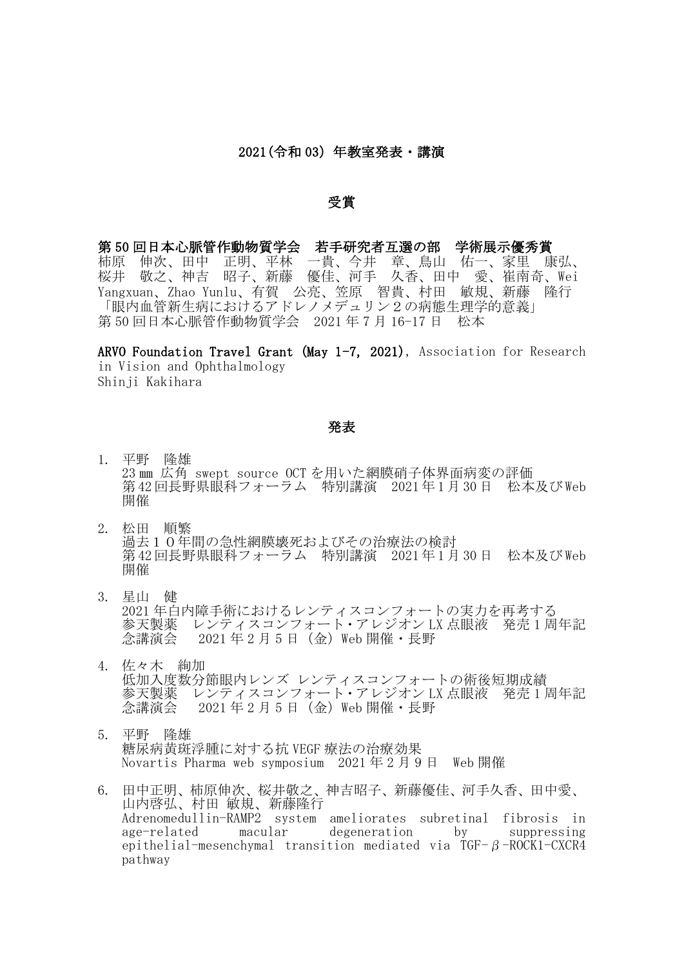## 2021 (令和 03) 年教室発表 · 講演

## 受賞

第 50 回日本心脈管作動物質学会 若手研究者互選の部 学術展示優秀賞 柿原 伸次、田中 正明、平林 一貴、今井 章、鳥山 佑一、家里 康弘、 桜井 敬之、神吉 昭子、新藤 優佳、河手 久香、田中 愛、崔南奇、Wei Yangxuan、Zhao Yunlu、有賀 公亮、笠原 智貴、村田 敏規、新藤 隆行 「眼内血管新生病におけるアドレノメデュリン2の病態生理学的意義」 第 50 回日本心脈管作動物質学会 2021 年 7 月 16-17 日 松本

ARVO Foundation Travel Grant (May 1-7, 2021), Association for Research in Vision and Ophthalmology Shinji Kakihara

## 発表

- 1. 平野 隆雄 23 ㎜ 広角 swept source OCT を用いた網膜硝子体界面病変の評価 第42回長野県眼科フォーラム 特別講演 2021年1月30日 松本及びWeb 開催
- 2. 松田 順繁 過去10年間の急性網膜壊死およびその治療法の検討 第42回長野県眼科フォーラム 特別講演 2021年1月30日 松本及びWeb 開催
- 3. 星山 健 2021 年白内障手術におけるレンティスコンフォートの実力を再考する 参天製薬 レンティスコンフォート・アレジオン LX 点眼液 <sup>-</sup> 発売 1 周年記<br>念講演会 - 2021 年 2 月 5 日(金)Web 開催・長野  $2021 \pm 2 \text{ }$ 月 5 日 (金) Web 開催・長野
- 4. 佐々木 絢加 低加入度数分節眼内レンズ レンティスコンフォートの術後短期成績 参天製薬 レンティスコンフォート・アレジオン LX 点眼液 発売 1 周年記 念講演会 2021 年 2 月 5 日(金)Web 開催・長野
- 5. 平野 隆雄 糖尿病黄斑浮腫に対する抗 VEGF 療法の治療効果 Novartis Pharma web symposium 2021 年 2 月 9 日 Web 開催
- 6. 田中正明、柿原伸次、桜井敬之、神吉昭子、新藤優佳、河手久香、田中愛、 山内啓弘、村田 敏規、新藤隆行 Adrenomedullin-RAMP2 system ameliorates subretinal fibrosis in age-related macular degeneration by suppressing epithelial-mesenchymal transition mediated via TGF-β-ROCK1-CXCR4 pathway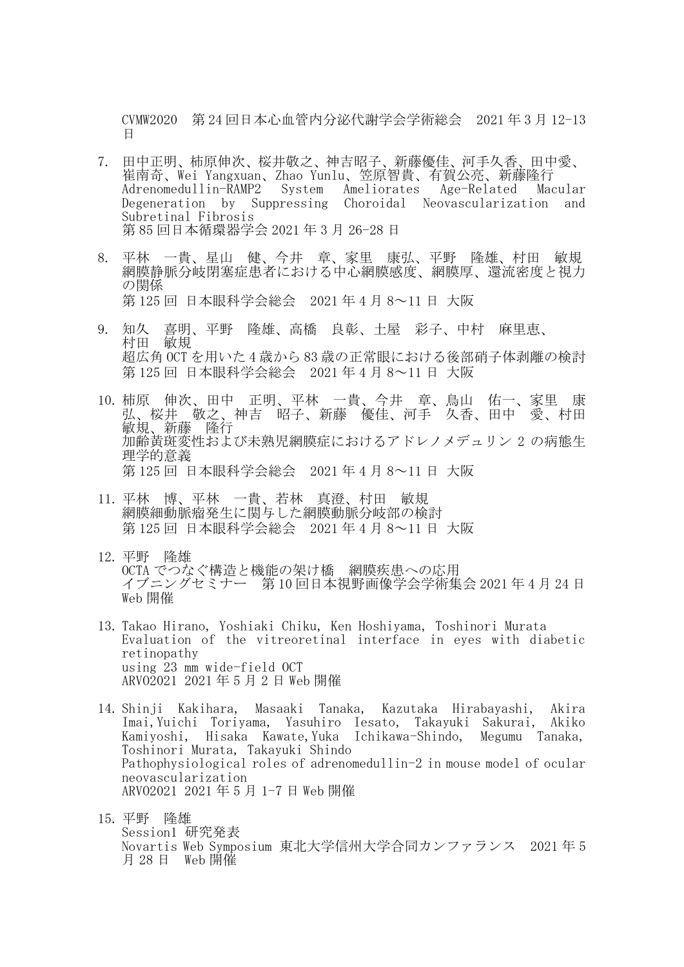CVMW2020 第 24 回日本心血管内分泌代謝学会学術総会 2021 年 3 月 12-13 日

- 7. 田中正明、柿原伸次、桜井敬之、神吉昭子、新藤優佳、河手久香、田中愛、 崔南奇、Wei Yangxuan、Zhao Yunlu、笠原智貴、有賀公亮、新藤隆行 Adrenomedullin-RAMP2 System Ameliorates Age-Related Macular Degeneration by Suppressing Choroidal Neovascularization and Subretinal Fibrosis 第 85 回日本循環器学会 2021 年 3 月 26-28 日
- 8. 平林 一貴、星山 健、今井 章、家里 康弘、平野 隆雄、村田 敏規 網膜静脈分岐閉塞症患者における中心網膜感度、網膜厚、還流密度と視力 の関係 第 125 回 日本眼科学会総会 2021 年 4 月 8~11 日 大阪
- 9. 知久 喜明、平野 隆雄、高橋 良彰、土屋 彩子、中村 麻里恵、 村田 敏規 超広角 OCT を用いた 4 歳から 83 歳の正常眼における後部硝子体剥離の検討 第 125 回 日本眼科学会総会 2021 年 4 月 8~11 日 大阪
- 10. 柿原 伸次、田中 正明、平林 一貴、今井 章、鳥山 佑一、家里 康 弘、桜井 敬之、神吉 昭子、新藤 優佳、河手 久香、田中 愛、村田 敏規、新藤 隆行 加齢黄斑変性および未熟児網膜症におけるアドレノメデュリン 2 の病態生 理学的意義 第 125 回 日本眼科学会総会 2021 年 4 月 8~11 日 大阪
- 11. 平林 博、平林 一貴、若林 真澄、村田 敏規 網膜細動脈瘤発生に関与した網膜動脈分岐部の検討 第 125 回 日本眼科学会総会 2021 年 4 月 8~11 日 大阪
- 12. 平野 隆雄 OCTA でつなぐ構造と機能の架け橋 網膜疾患への応用 イブニングセミナー 第 10 回日本視野画像学会学術集会 2021 年 4 月 24 日 Web 開催
- 13. Takao Hirano, Yoshiaki Chiku, Ken Hoshiyama, Toshinori Murata Evaluation of the vitreoretinal interface in eyes with diabetic retinopathy using 23 mm wide-field OCT ARVO2021 2021 年 5 月 2 日 Web 開催
- 14. Shinji Kakihara, Masaaki Tanaka, Kazutaka Hirabayashi, Akira Imai,Yuichi Toriyama, Yasuhiro Iesato, Takayuki Sakurai, Akiko Kamiyoshi, Hisaka Kawate,Yuka Ichikawa-Shindo, Megumu Tanaka, Toshinori Murata, Takayuki Shindo Pathophysiological roles of adrenomedullin-2 in mouse model of ocular neovascularization ARVO2021 2021 年 5 月 1-7 日 Web 開催
- 15. 平野 隆雄 Session1 研究発表 Novartis Web Symposium 東北大学信州大学合同カンファランス 2021 年 5 月 28 日 Web 開催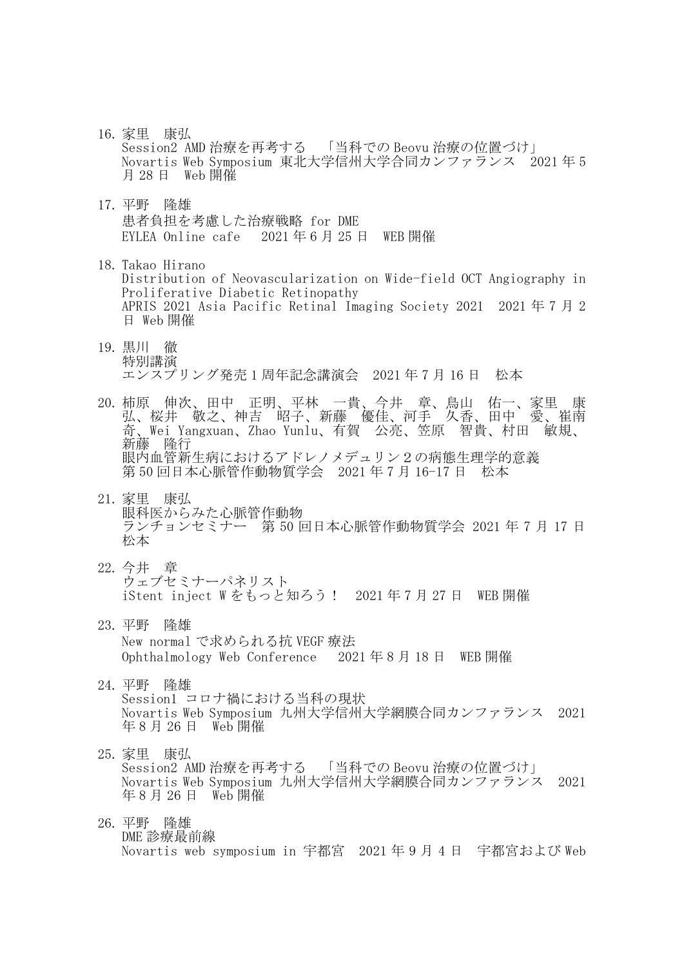- 16. 家里 康弘 Session2 AMD 治療を再考する 「当科での Beovu 治療の位置づけ」 Novartis Web Symposium 東北大学信州大学合同カンファランス 2021 年 5 月 28 日 Web 開催
- 17. 平野 隆雄 患者負担を考慮した治療戦略 for DME EYLEA Online cafe 2021 年 6 月 25 日 WEB 開催
- 18. Takao Hirano Distribution of Neovascularization on Wide-field OCT Angiography in Proliferative Diabetic Retinopathy APRIS 2021 Asia Pacific Retinal Imaging Society 2021 2021 年 7 月 2 日 Web 開催
- 19. 黒川 徹 特別講演 エンスプリング発売 1 周年記念講演会 2021 年 7 月 16 日 松本
- 20. 柿原 伸次、田中 正明、平林 一貴、今井 章、鳥山 佑一、家里 康 弘、桜井 敬之、神吉 昭子、新藤 優佳、河手 久香、田中 愛、崔南 奇、Wei Yangxuan、Zhao Yunlu、有賀 公亮、笠原 智貴、村田 敏規、 新藤 隆行 眼内血管新生病におけるアドレノメデュリン2の病態生理学的意義 第 50 回日本心脈管作動物質学会 2021 年 7 月 16-17 日 松本
- 21. 家里 康弘 眼科医からみた心脈管作動物 ランチョンセミナー 第 50 回日本心脈管作動物質学会 2021 年 7 月 17 日 松本
- 22. 今井 章 ウェブセミナーパネリスト iStent inject W をもっと知ろう! 2021 年 7 月 27 日 WEB 開催
- 23. 平野 隆雄 New normal で求められる抗 VEGF 療法 Ophthalmology Web Conference 2021 年 8 月 18 日 WEB 開催
- 24. 平野 隆雄 Session1 コロナ禍における当科の現状 Novartis Web Symposium 九州大学信州大学網膜合同カンファランス 2021 年 8 月 26 日 Web 開催
- 25. 家里 康弘 Session2 AMD 治療を再考する 「当科での Beovu 治療の位置づけ」 Novartis Web Symposium 九州大学信州大学網膜合同カンファランス 2021 年 8 月 26 日 Web 開催
- 26. 平野 隆雄 DME 診療最前線 Novartis web symposium in 宇都宮 2021 年 9 月 4 日 宇都宮および Web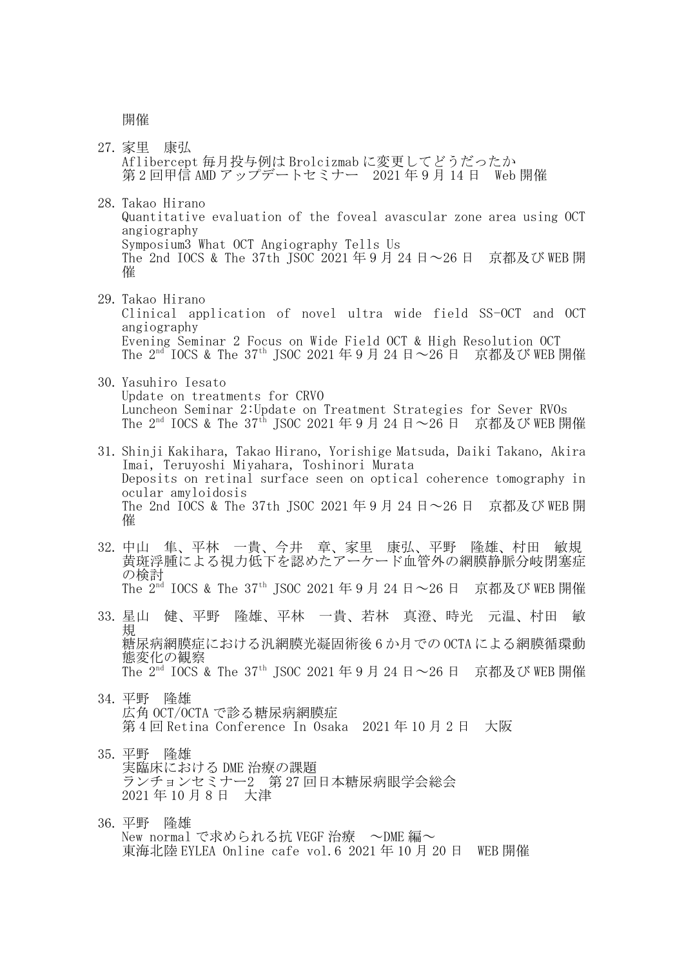開催

- 27. 家里 康弘 Aflibercept 毎月投与例は Brolcizmab に変更してどうだったか 第 2 回甲信 AMD アップデートセミナー 2021 年 9 月 14 日 Web 開催
- 28. Takao Hirano Quantitative evaluation of the foveal avascular zone area using OCT angiography Symposium3 What OCT Angiography Tells Us The 2nd IOCS & The 37th JSOC 2021 年 9 月 24 日~26 日 京都及び WEB 開 催
- 29. Takao Hirano Clinical application of novel ultra wide field SS-OCT and OCT angiography Evening Seminar 2 Focus on Wide Field OCT & High Resolution OCT The 2<sup>nd I</sup>OCS & The 37<sup>th</sup> JSOC 2021 年9月 24 日~26 日 京都及び WEB 開催
- 30. Yasuhiro Iesato Update on treatments for CRVO Luncheon Seminar 2:Update on Treatment Strategies for Sever RVOs The  $2<sup>nd</sup>$  IOCS & The  $37<sup>th</sup>$  ISOC 2021 年 9 月 24 日 ~  $26$  日 京都及び WEB 開催
- 31. Shinji Kakihara, Takao Hirano, Yorishige Matsuda, Daiki Takano, Akira Imai, Teruyoshi Miyahara, Toshinori Murata Deposits on retinal surface seen on optical coherence tomography in ocular amyloidosis The 2nd IOCS & The 37th JSOC 2021 年 9 月 24 日~26 日 京都及び WEB 開 催
- 32. 中山 隼、平林 一貴、今井 章、家里 康弘、平野 隆雄、村田 敏規 黄斑浮腫による視力低下を認めたアーケード血管外の網膜静脈分岐閉塞症 の検討 The  $2<sup>nd</sup>$  IOCS & The  $37<sup>th</sup>$  ISOC 2021 年 9 月 24 日 ~ 26 日 京都及び WEB 開催
- 33. 星山 健、平野 隆雄、平林 一貴、若林 真澄、時光 元温、村田 敏 規 糖尿病網膜症における汎網膜光凝固術後 6 か月での OCTA による網膜循環動 態変化の観察 The 2<sup>nd</sup> IOCS & The 37<sup>th</sup> JSOC 2021 年 9 月 24 日~26 日 京都及び WEB 開催
- 34. 平野 隆雄 広角 OCT/OCTA で診る糖尿病網膜症 第 4 回 Retina Conference In Osaka 2021 年 10 月 2 日 大阪
- 35. 平野 隆雄 実臨床における DME 治療の課題 ランチョンセミナー2 第 27 回日本糖尿病眼学会総会 2021 年 10 月 8 日 大津
- 36. 平野 隆雄 New normal で求められる抗 VEGF 治療 ~DME 編~ 東海北陸 EYLEA Online cafe vol.6 2021 年 10 月 20 日 WEB 開催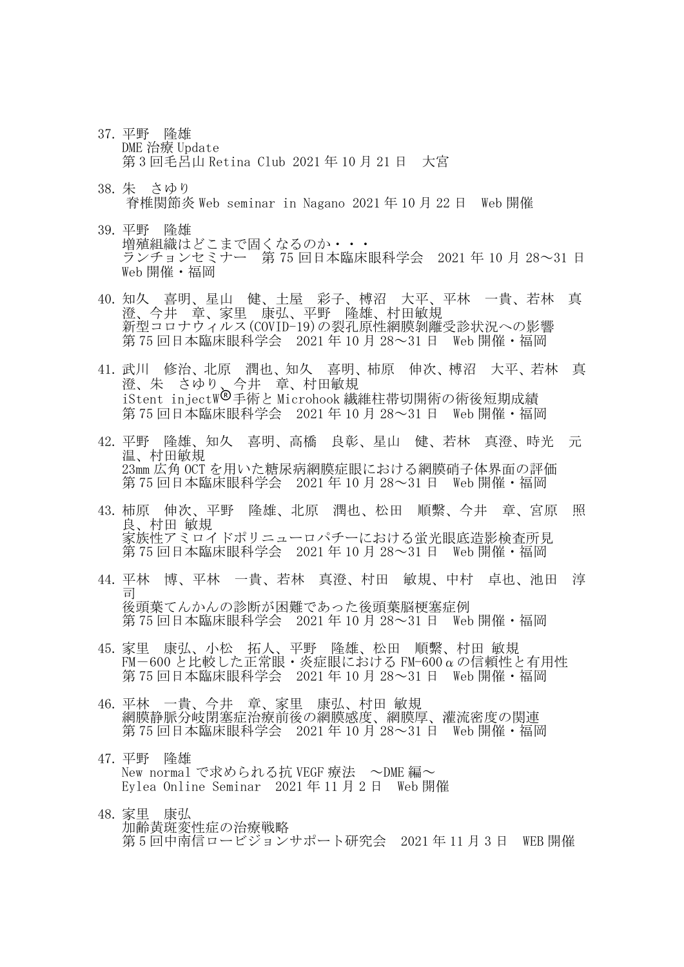- 37. 平野 隆雄 DME 治療 Update 第 3 回毛呂山 Retina Club 2021 年 10 月 21 日 大宮
- 38. 朱 さゆり 脊椎関節炎 Web seminar in Nagano 2021 年 10 月 22 日 Web 開催
- 39. 平野 隆雄 増殖組織はどこまで固くなるのか・・・ ランチョンセミナー 第 75 回日本臨床眼科学会 2021 年 10 月 28~31 日 Web 開催・福岡
- 40. 知久 喜明、星山 健、土屋 彩子、榑沼 大平、平林 一貴、若林 真 澄、今井 章、家里 康弘、平野 隆雄、村田敏規 新型コロナウィルス(COVID-19)の裂孔原性網膜剝離受診状況への影響 第 75 回日本臨床眼科学会 2021 年 10 月 28~31 日 Web 開催 · 福岡
- 41. 武川 修治、北原 潤也、知久 喜明、柿原 伸次、榑沼 大平、若林 真 澄、朱 さゆり、今井 章、村田敏規 iStent injectW®手術と Microhook 繊維柱帯切開術の術後短期成績 第 75 回日本臨床眼科学会 2021 年 10 月 28~31 日 Web 開催・福岡
- 42. 平野 隆雄、知久 喜明、高橋 良彰、星山 健、若林 真澄、時光 元 温、村田敏規 23mm 広角 OCT を用いた糖尿病網膜症眼における網膜硝子体界面の評価 第 75 回日本臨床眼科学会 2021 年 10 月 28~31 日 Web 開催・福岡
- 43. 柿原 伸次、平野 隆雄、北原 潤也、松田 順繫、今井 章、宮原 照 良、村田 敏規 家族性アミロイドポリニューロパチーにおける蛍光眼底造影検査所見 第 75 回日本臨床眼科学会 2021 年 10 月 28~31 日 Web 開催・福岡
- 44. 平林 博、平林 一貴、若林 真澄、村田 敏規、中村 卓也、池田 淳 司 後頭葉てんかんの診断が困難であった後頭葉脳梗塞症例 第 75 回日本臨床眼科学会 2021 年 10 月 28~31 日 Web 開催 · 福岡
- 45. 家里 康弘、小松 拓人、平野 隆雄、松田 順繫、村田 敏規 FM-600 と比較した正常眼・炎症眼における FM-600αの信頼性と有用性 第 75 回日本臨床眼科学会 2021 年 10 月 28~31 日 Web 開催・福岡
- 46. 平林 一貴、今井 章、家里 康弘、村田 敏規 網膜静脈分岐閉塞症治療前後の網膜感度、網膜厚、灌流密度の関連 第 75 回日本臨床眼科学会 2021 年 10 月 28~31 日 Web 開催・福岡
- 47. 平野 隆雄 New normal で求められる抗 VEGF 療法 ~DME 編~ Eylea Online Seminar 2021 年 11 月 2 日 Web 開催
- 48. 家里 康弘 加齢黄斑変性症の治療戦略 第 5 回中南信ロービジョンサポート研究会 2021 年 11 月 3 日 WEB 開催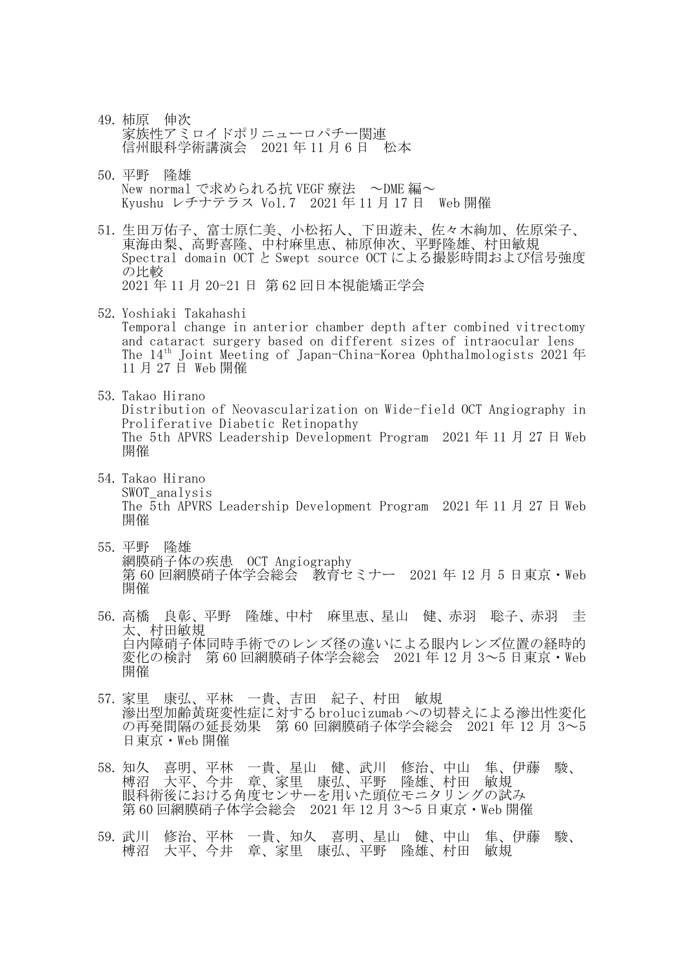- 49. 柿原 伸次 家族性アミロイドポリニューロパチー関連 信州眼科学術講演会 2021 年 11 月 6 日 松本
- 50. 平野 隆雄 New normal で求められる抗 VEGF 療法 ~DME 編~ Kyushu レチナテラス Vol.7 2021 年 11 月 17 日 Web 開催
- 51. 生田万佑子、富士原仁美、小松拓人、下田遊未、佐々木絢加、佐原栄子、 東海由梨、高野喜隆、中村麻里恵、柿原伸次、平野隆雄、村田敏規 Spectral domain OCT と Swept source OCT による撮影時間および信号強度 の比較 2021 年 11 月 20-21 日 第 62 回日本視能矯正学会
- 52. Yoshiaki Takahashi Temporal change in anterior chamber depth after combined vitrectomy and cataract surgery based on different sizes of intraocular lens The 14th Joint Meeting of Japan-China-Korea Ophthalmologists 2021 年 11 月 27 日 Web 開催
- 53. Takao Hirano Distribution of Neovascularization on Wide-field OCT Angiography in Proliferative Diabetic Retinopathy The 5th APVRS Leadership Development Program 2021 年 11 月 27 日 Web 開催
- 54. Takao Hirano SWOT\_analysis The 5th APVRS Leadership Development Program 2021 年 11 月 27 日 Web 開催
- 55. 平野 隆雄 網膜硝子体の疾患 OCT Angiography 第 60 回網膜硝子体学会総会 教育セミナー 2021 年 12 月 5 日東京・Web 開催
- 56. 高橋 良彰、平野 隆雄、中村 麻里恵、星山 健、赤羽 聡子、赤羽 圭 太、村田敏規 白内障硝子体同時手術でのレンズ径の違いによる眼内レンズ位置の経時的 変化の検討 第 60 回網膜硝子体学会総会 2021 年 12 月 3~5 日東京・Web 開催
- 57. 家里 康弘、平林 一貴、吉田 紀子、村田 敏規 滲出型加齢黄斑変性症に対するbrolucizumabへの切替えによる滲出性変化 の再発間隔の延長効果 第 60 回網膜硝子体学会総会 2021 年 12 月 3~5 日東京・Web 開催
- 58. 知久 喜明、平林 一貴、星山 健、武川 修治、中山 隼、伊藤 駿、 榑沼 大平、今井 章、家里 康弘、平野 隆雄、村田 敏規 眼科術後における角度センサーを用いた頭位モニタリングの試み 第 60 回網膜硝子体学会総会 2021 年 12 月 3~5 日東京・Web 開催
- 59. 武川 修治、平林 一貴、知久 喜明、星山 健、中山 隼、伊藤 駿、 榑沼 大平、今井 章、家里 康弘、平野 隆雄、村田 敏規